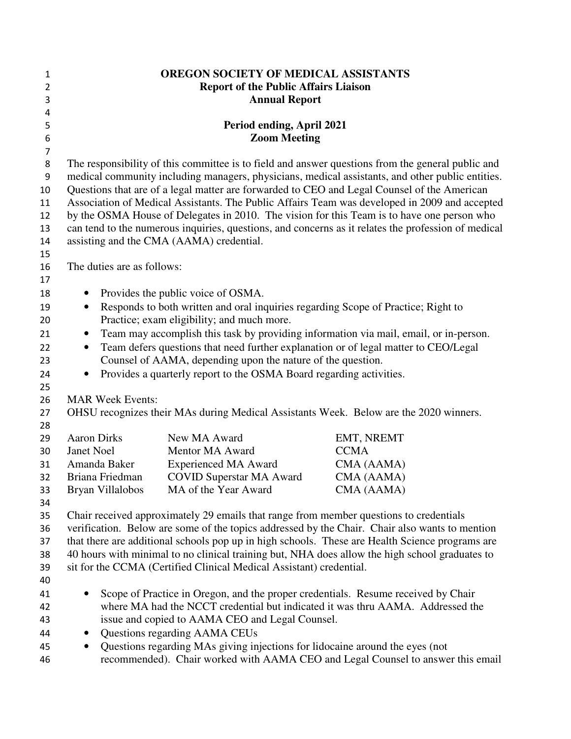| 1                | <b>OREGON SOCIETY OF MEDICAL ASSISTANTS</b>                                                                                                                                              |                                                                                   |             |
|------------------|------------------------------------------------------------------------------------------------------------------------------------------------------------------------------------------|-----------------------------------------------------------------------------------|-------------|
| $\overline{2}$   | <b>Report of the Public Affairs Liaison</b>                                                                                                                                              |                                                                                   |             |
| 3                | <b>Annual Report</b>                                                                                                                                                                     |                                                                                   |             |
| 4                |                                                                                                                                                                                          |                                                                                   |             |
| 5                | Period ending, April 2021                                                                                                                                                                |                                                                                   |             |
| $\boldsymbol{6}$ | <b>Zoom Meeting</b>                                                                                                                                                                      |                                                                                   |             |
| $\overline{7}$   |                                                                                                                                                                                          |                                                                                   |             |
| 8                | The responsibility of this committee is to field and answer questions from the general public and                                                                                        |                                                                                   |             |
| 9                | medical community including managers, physicians, medical assistants, and other public entities.                                                                                         |                                                                                   |             |
| 10               | Questions that are of a legal matter are forwarded to CEO and Legal Counsel of the American                                                                                              |                                                                                   |             |
| 11               | Association of Medical Assistants. The Public Affairs Team was developed in 2009 and accepted                                                                                            |                                                                                   |             |
| 12               | by the OSMA House of Delegates in 2010. The vision for this Team is to have one person who                                                                                               |                                                                                   |             |
| 13               | can tend to the numerous inquiries, questions, and concerns as it relates the profession of medical                                                                                      |                                                                                   |             |
| 14               | assisting and the CMA (AAMA) credential.                                                                                                                                                 |                                                                                   |             |
| 15               |                                                                                                                                                                                          |                                                                                   |             |
| 16               | The duties are as follows:                                                                                                                                                               |                                                                                   |             |
| 17               |                                                                                                                                                                                          |                                                                                   |             |
| 18               | Provides the public voice of OSMA.                                                                                                                                                       |                                                                                   |             |
| 19               | Responds to both written and oral inquiries regarding Scope of Practice; Right to<br>$\bullet$                                                                                           |                                                                                   |             |
| 20               | Practice; exam eligibility; and much more.                                                                                                                                               |                                                                                   |             |
| 21               | Team may accomplish this task by providing information via mail, email, or in-person.<br>$\bullet$                                                                                       |                                                                                   |             |
| 22               | Team defers questions that need further explanation or of legal matter to CEO/Legal<br>$\bullet$                                                                                         |                                                                                   |             |
| 23               | Counsel of AAMA, depending upon the nature of the question.                                                                                                                              |                                                                                   |             |
| 24               | Provides a quarterly report to the OSMA Board regarding activities.<br>$\bullet$                                                                                                         |                                                                                   |             |
| 25               |                                                                                                                                                                                          |                                                                                   |             |
| 26               | <b>MAR Week Events:</b><br>OHSU recognizes their MAs during Medical Assistants Week. Below are the 2020 winners.                                                                         |                                                                                   |             |
| 27               |                                                                                                                                                                                          |                                                                                   |             |
| 28               |                                                                                                                                                                                          |                                                                                   |             |
| 29               | <b>Aaron Dirks</b>                                                                                                                                                                       | New MA Award                                                                      | EMT, NREMT  |
| 30               | Janet Noel                                                                                                                                                                               | Mentor MA Award                                                                   | <b>CCMA</b> |
| 31               | Amanda Baker                                                                                                                                                                             | <b>Experienced MA Award</b>                                                       | CMA (AAMA)  |
| 32               | Briana Friedman                                                                                                                                                                          | <b>COVID Superstar MA Award</b><br>MA of the Year Award                           | CMA (AAMA)  |
| 33<br>34         | Bryan Villalobos                                                                                                                                                                         |                                                                                   | CMA (AAMA)  |
| 35               |                                                                                                                                                                                          |                                                                                   |             |
| 36               | Chair received approximately 29 emails that range from member questions to credentials<br>verification. Below are some of the topics addressed by the Chair. Chair also wants to mention |                                                                                   |             |
| 37               | that there are additional schools pop up in high schools. These are Health Science programs are                                                                                          |                                                                                   |             |
| 38               | 40 hours with minimal to no clinical training but, NHA does allow the high school graduates to                                                                                           |                                                                                   |             |
| 39               | sit for the CCMA (Certified Clinical Medical Assistant) credential.                                                                                                                      |                                                                                   |             |
| 40               |                                                                                                                                                                                          |                                                                                   |             |
| 41               |                                                                                                                                                                                          | Scope of Practice in Oregon, and the proper credentials. Resume received by Chair |             |
| 42               | where MA had the NCCT credential but indicated it was thru AAMA. Addressed the                                                                                                           |                                                                                   |             |
| 43               | issue and copied to AAMA CEO and Legal Counsel.                                                                                                                                          |                                                                                   |             |
| 44               | Questions regarding AAMA CEUs<br>$\bullet$                                                                                                                                               |                                                                                   |             |
| 45               | Questions regarding MAs giving injections for lidocaine around the eyes (not<br>$\bullet$                                                                                                |                                                                                   |             |
| 46               | recommended). Chair worked with AAMA CEO and Legal Counsel to answer this email                                                                                                          |                                                                                   |             |